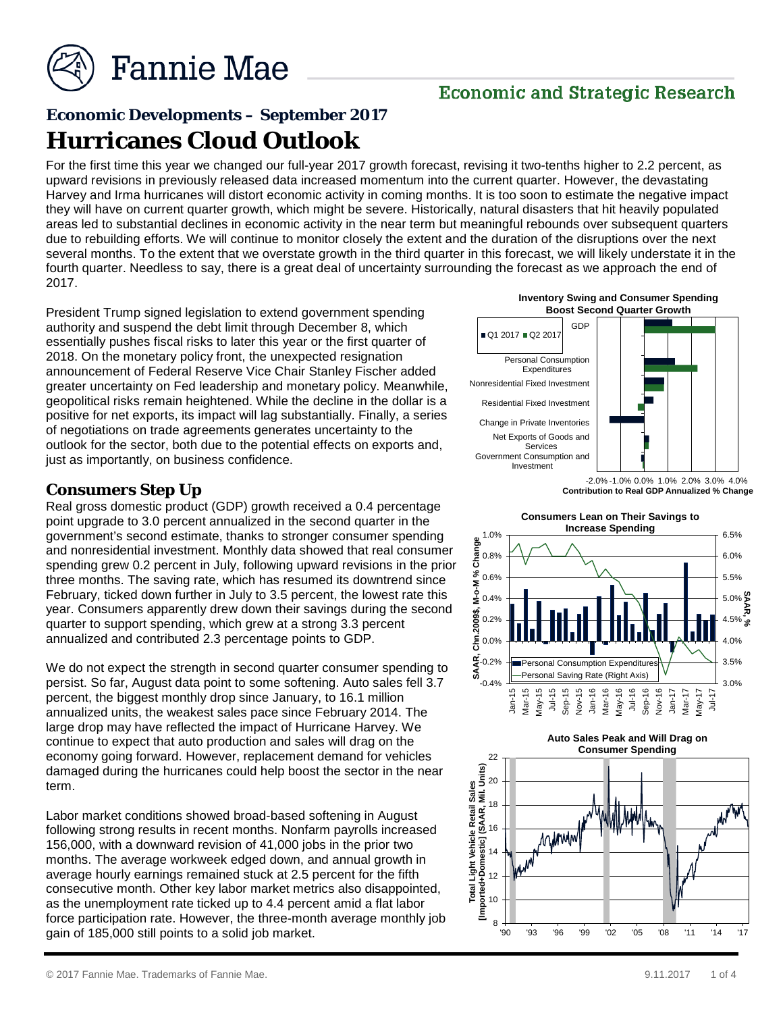

### **Economic and Strategic Research**

# **Economic Developments – September 2017 Hurricanes Cloud Outlook**

For the first time this year we changed our full-year 2017 growth forecast, revising it two-tenths higher to 2.2 percent, as upward revisions in previously released data increased momentum into the current quarter. However, the devastating Harvey and Irma hurricanes will distort economic activity in coming months. It is too soon to estimate the negative impact they will have on current quarter growth, which might be severe. Historically, natural disasters that hit heavily populated areas led to substantial declines in economic activity in the near term but meaningful rebounds over subsequent quarters due to rebuilding efforts. We will continue to monitor closely the extent and the duration of the disruptions over the next several months. To the extent that we overstate growth in the third quarter in this forecast, we will likely understate it in the fourth quarter. Needless to say, there is a great deal of uncertainty surrounding the forecast as we approach the end of 2017.

President Trump signed legislation to extend government spending authority and suspend the debt limit through December 8, which essentially pushes fiscal risks to later this year or the first quarter of 2018. On the monetary policy front, the unexpected resignation announcement of Federal Reserve Vice Chair Stanley Fischer added greater uncertainty on Fed leadership and monetary policy. Meanwhile, geopolitical risks remain heightened. While the decline in the dollar is a positive for net exports, its impact will lag substantially. Finally, a series of negotiations on trade agreements generates uncertainty to the outlook for the sector, both due to the potential effects on exports and, just as importantly, on business confidence.

#### **Consumers Step Up**

Real gross domestic product (GDP) growth received a 0.4 percentage point upgrade to 3.0 percent annualized in the second quarter in the government's second estimate, thanks to stronger consumer spending and nonresidential investment. Monthly data showed that real consumer spending grew 0.2 percent in July, following upward revisions in the prior three months. The saving rate, which has resumed its downtrend since February, ticked down further in July to 3.5 percent, the lowest rate this year. Consumers apparently drew down their savings during the second quarter to support spending, which grew at a strong 3.3 percent annualized and contributed 2.3 percentage points to GDP.

We do not expect the strength in second quarter consumer spending to persist. So far, August data point to some softening. Auto sales fell 3.7 percent, the biggest monthly drop since January, to 16.1 million annualized units, the weakest sales pace since February 2014. The large drop may have reflected the impact of Hurricane Harvey. We continue to expect that auto production and sales will drag on the economy going forward. However, replacement demand for vehicles damaged during the hurricanes could help boost the sector in the near term.

Labor market conditions showed broad-based softening in August following strong results in recent months. Nonfarm payrolls increased 156,000, with a downward revision of 41,000 jobs in the prior two months. The average workweek edged down, and annual growth in average hourly earnings remained stuck at 2.5 percent for the fifth consecutive month. Other key labor market metrics also disappointed, as the unemployment rate ticked up to 4.4 percent amid a flat labor force participation rate. However, the three-month average monthly job gain of 185,000 still points to a solid job market.

Personal Consumption

GDP

**Inventory Swing and Consumer Spending Boost Second Quarter Growth**

**Expenditures** 

 $\Box$ Q1 2017  $\Box$ Q2 201



**Auto Sales Peak and Will Drag on** 

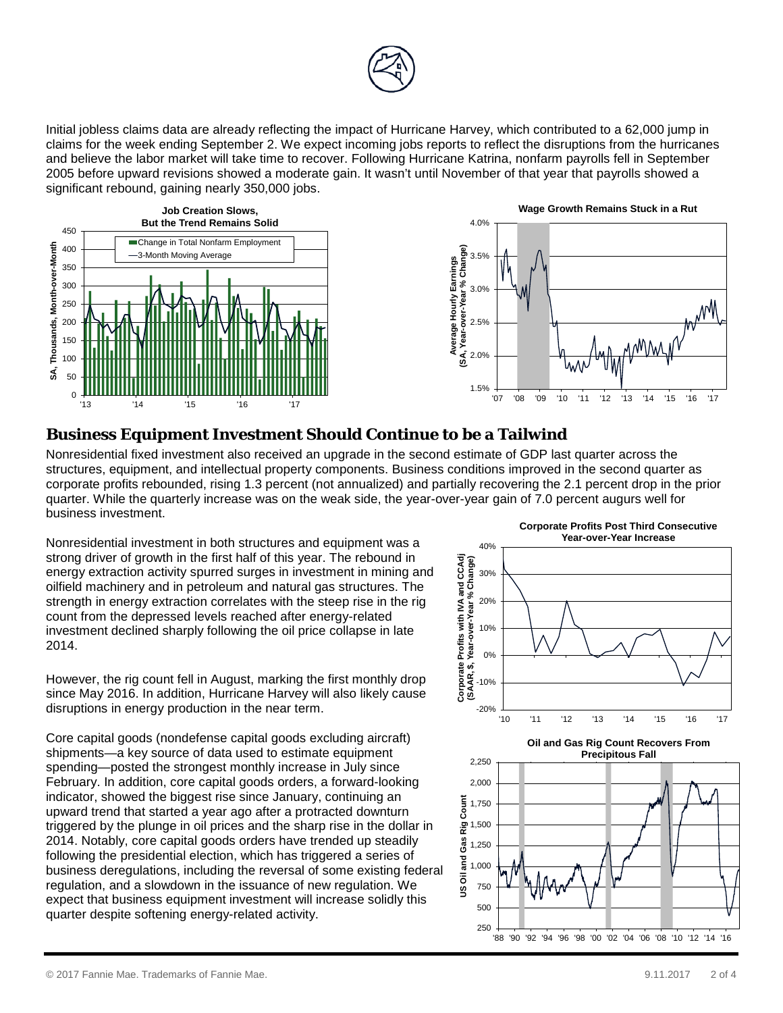

Initial jobless claims data are already reflecting the impact of Hurricane Harvey, which contributed to a 62,000 jump in claims for the week ending September 2. We expect incoming jobs reports to reflect the disruptions from the hurricanes and believe the labor market will take time to recover. Following Hurricane Katrina, nonfarm payrolls fell in September 2005 before upward revisions showed a moderate gain. It wasn't until November of that year that payrolls showed a significant rebound, gaining nearly 350,000 jobs.





#### **Business Equipment Investment Should Continue to be a Tailwind**

Nonresidential fixed investment also received an upgrade in the second estimate of GDP last quarter across the structures, equipment, and intellectual property components. Business conditions improved in the second quarter as corporate profits rebounded, rising 1.3 percent (not annualized) and partially recovering the 2.1 percent drop in the prior quarter. While the quarterly increase was on the weak side, the year-over-year gain of 7.0 percent augurs well for business investment.

Nonresidential investment in both structures and equipment was a strong driver of growth in the first half of this year. The rebound in energy extraction activity spurred surges in investment in mining and oilfield machinery and in petroleum and natural gas structures. The strength in energy extraction correlates with the steep rise in the rig count from the depressed levels reached after energy-related investment declined sharply following the oil price collapse in late 2014.

However, the rig count fell in August, marking the first monthly drop since May 2016. In addition, Hurricane Harvey will also likely cause disruptions in energy production in the near term.

Core capital goods (nondefense capital goods excluding aircraft) shipments—a key source of data used to estimate equipment spending—posted the strongest monthly increase in July since February. In addition, core capital goods orders, a forward-looking indicator, showed the biggest rise since January, continuing an upward trend that started a year ago after a protracted downturn triggered by the plunge in oil prices and the sharp rise in the dollar in 2014. Notably, core capital goods orders have trended up steadily following the presidential election, which has triggered a series of business deregulations, including the reversal of some existing federal regulation, and a slowdown in the issuance of new regulation. We expect that business equipment investment will increase solidly this quarter despite softening energy-related activity.



'88 '90 '92 '94 '96 '98 '00 '02 '04 '06 '08 '10 '12 '14 '16

250 500

**Corporate Profits Post Third Consecutive**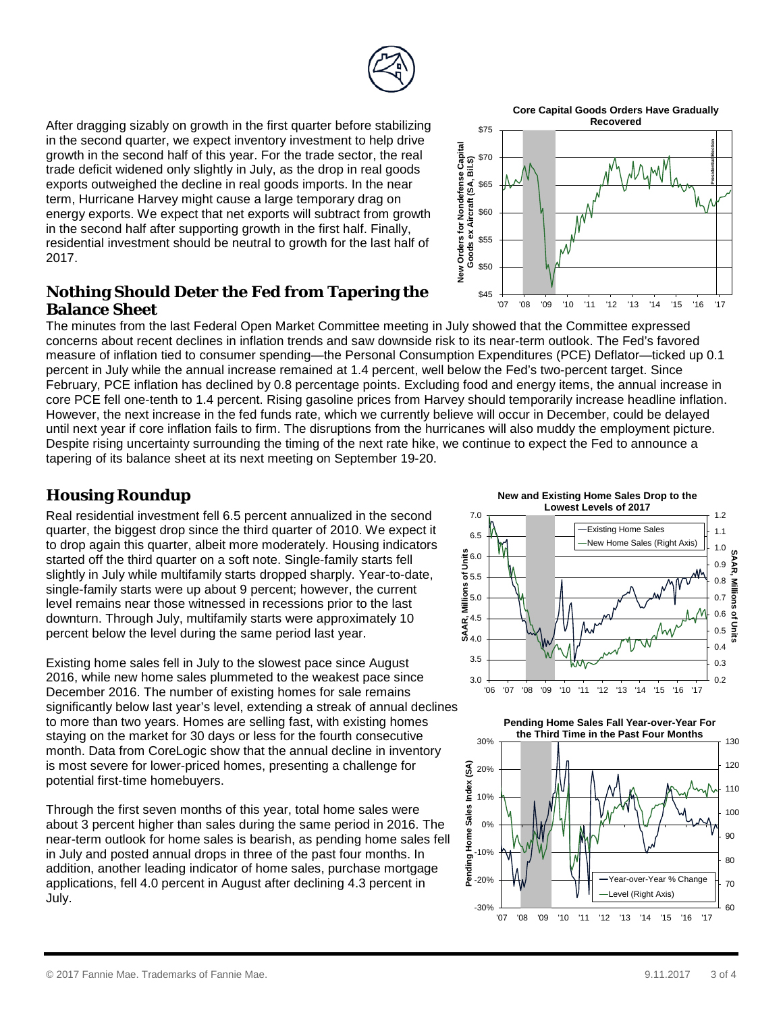

**Core Capital Goods Orders Have Gradually Recovered**

**Presidential Election**

'07 '08 '09 '10 '11 '12 '13 '14 '15 '16 '17

After dragging sizably on growth in the first quarter before stabilizing in the second quarter, we expect inventory investment to help drive growth in the second half of this year. For the trade sector, the real trade deficit widened only slightly in July, as the drop in real goods exports outweighed the decline in real goods imports. In the near term, Hurricane Harvey might cause a large temporary drag on energy exports. We expect that net exports will subtract from growth in the second half after supporting growth in the first half. Finally, residential investment should be neutral to growth for the last half of 2017.

#### **Nothing Should Deter the Fed from Tapering the Balance Sheet**

The minutes from the last Federal Open Market Committee meeting in July showed that the Committee expressed concerns about recent declines in inflation trends and saw downside risk to its near-term outlook. The Fed's favored measure of inflation tied to consumer spending—the Personal Consumption Expenditures (PCE) Deflator—ticked up 0.1 percent in July while the annual increase remained at 1.4 percent, well below the Fed's two-percent target. Since February, PCE inflation has declined by 0.8 percentage points. Excluding food and energy items, the annual increase in core PCE fell one-tenth to 1.4 percent. Rising gasoline prices from Harvey should temporarily increase headline inflation. However, the next increase in the fed funds rate, which we currently believe will occur in December, could be delayed until next year if core inflation fails to firm. The disruptions from the hurricanes will also muddy the employment picture. Despite rising uncertainty surrounding the timing of the next rate hike, we continue to expect the Fed to announce a tapering of its balance sheet at its next meeting on September 19-20.

\$45

\$55

\$60

\$65

\$70

\$75

New Orders for Nondefense Capital<br>Coods ex Aircraft (SA, Bil.\$)<br>ಆ ಆ ಆ ಲೀ ಲೀ ಲೀ<br>ಲೀ ಲೀ ಲೀ ಲೀ ಲೀ ಲೇ

**New Orders for Nondefense Capital Goods ex Aircraft (SA, Bil.\$)**

## **Housing Roundup**

Real residential investment fell 6.5 percent annualized in the second quarter, the biggest drop since the third quarter of 2010. We expect it to drop again this quarter, albeit more moderately. Housing indicators started off the third quarter on a soft note. Single-family starts fell slightly in July while multifamily starts dropped sharply. Year-to-date, single-family starts were up about 9 percent; however, the current level remains near those witnessed in recessions prior to the last downturn. Through July, multifamily starts were approximately 10 percent below the level during the same period last year.

Existing home sales fell in July to the slowest pace since August 2016, while new home sales plummeted to the weakest pace since December 2016. The number of existing homes for sale remains significantly below last year's level, extending a streak of annual declines to more than two years. Homes are selling fast, with existing homes staying on the market for 30 days or less for the fourth consecutive month. Data from CoreLogic show that the annual decline in inventory is most severe for lower-priced homes, presenting a challenge for potential first-time homebuyers.

Through the first seven months of this year, total home sales were about 3 percent higher than sales during the same period in 2016. The near-term outlook for home sales is bearish, as pending home sales fell in July and posted annual drops in three of the past four months. In addition, another leading indicator of home sales, purchase mortgage applications, fell 4.0 percent in August after declining 4.3 percent in July.